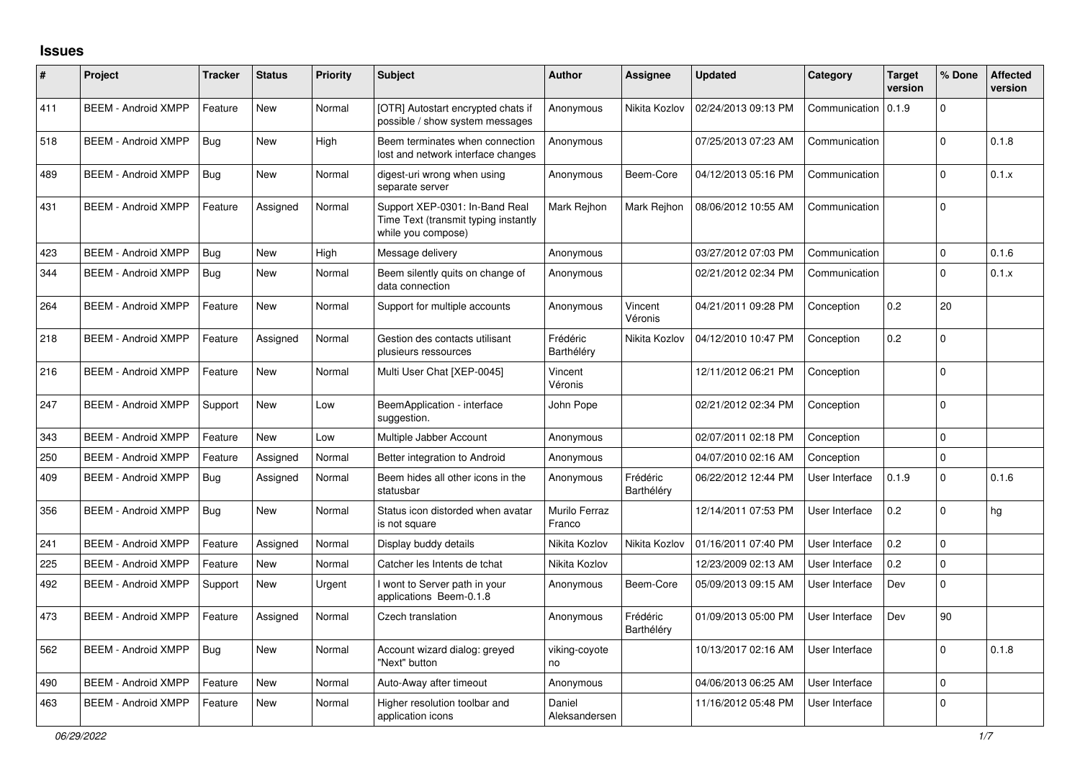## **Issues**

| #   | Project                    | <b>Tracker</b> | <b>Status</b> | <b>Priority</b> | <b>Subject</b>                                                                               | <b>Author</b>           | <b>Assignee</b>        | <b>Updated</b>      | Category       | <b>Target</b><br>version | % Done      | <b>Affected</b><br>version |
|-----|----------------------------|----------------|---------------|-----------------|----------------------------------------------------------------------------------------------|-------------------------|------------------------|---------------------|----------------|--------------------------|-------------|----------------------------|
| 411 | <b>BEEM - Android XMPP</b> | Feature        | New           | Normal          | [OTR] Autostart encrypted chats if<br>possible / show system messages                        | Anonymous               | Nikita Kozlov          | 02/24/2013 09:13 PM | Communication  | 0.1.9                    | $\Omega$    |                            |
| 518 | <b>BEEM - Android XMPP</b> | <b>Bug</b>     | New           | High            | Beem terminates when connection<br>lost and network interface changes                        | Anonymous               |                        | 07/25/2013 07:23 AM | Communication  |                          | $\mathbf 0$ | 0.1.8                      |
| 489 | <b>BEEM - Android XMPP</b> | <b>Bug</b>     | New           | Normal          | digest-uri wrong when using<br>separate server                                               | Anonymous               | Beem-Core              | 04/12/2013 05:16 PM | Communication  |                          | $\Omega$    | 0.1.x                      |
| 431 | <b>BEEM - Android XMPP</b> | Feature        | Assigned      | Normal          | Support XEP-0301: In-Band Real<br>Time Text (transmit typing instantly<br>while you compose) | Mark Rejhon             | Mark Rejhon            | 08/06/2012 10:55 AM | Communication  |                          | $\Omega$    |                            |
| 423 | <b>BEEM - Android XMPP</b> | Bug            | New           | High            | Message delivery                                                                             | Anonymous               |                        | 03/27/2012 07:03 PM | Communication  |                          | $\mathbf 0$ | 0.1.6                      |
| 344 | <b>BEEM - Android XMPP</b> | <b>Bug</b>     | New           | Normal          | Beem silently quits on change of<br>data connection                                          | Anonymous               |                        | 02/21/2012 02:34 PM | Communication  |                          | $\Omega$    | 0.1.x                      |
| 264 | <b>BEEM - Android XMPP</b> | Feature        | <b>New</b>    | Normal          | Support for multiple accounts                                                                | Anonymous               | Vincent<br>Véronis     | 04/21/2011 09:28 PM | Conception     | 0.2                      | 20          |                            |
| 218 | <b>BEEM - Android XMPP</b> | Feature        | Assigned      | Normal          | Gestion des contacts utilisant<br>plusieurs ressources                                       | Frédéric<br>Barthéléry  | Nikita Kozlov          | 04/12/2010 10:47 PM | Conception     | 0.2                      | $\mathbf 0$ |                            |
| 216 | <b>BEEM - Android XMPP</b> | Feature        | <b>New</b>    | Normal          | Multi User Chat [XEP-0045]                                                                   | Vincent<br>Véronis      |                        | 12/11/2012 06:21 PM | Conception     |                          | $\Omega$    |                            |
| 247 | <b>BEEM - Android XMPP</b> | Support        | <b>New</b>    | Low             | BeemApplication - interface<br>suggestion.                                                   | John Pope               |                        | 02/21/2012 02:34 PM | Conception     |                          | $\mathbf 0$ |                            |
| 343 | <b>BEEM - Android XMPP</b> | Feature        | <b>New</b>    | Low             | Multiple Jabber Account                                                                      | Anonymous               |                        | 02/07/2011 02:18 PM | Conception     |                          | $\mathbf 0$ |                            |
| 250 | <b>BEEM - Android XMPP</b> | Feature        | Assigned      | Normal          | Better integration to Android                                                                | Anonymous               |                        | 04/07/2010 02:16 AM | Conception     |                          | $\Omega$    |                            |
| 409 | <b>BEEM - Android XMPP</b> | Bug            | Assigned      | Normal          | Beem hides all other icons in the<br>statusbar                                               | Anonymous               | Frédéric<br>Barthéléry | 06/22/2012 12:44 PM | User Interface | 0.1.9                    | $\Omega$    | 0.1.6                      |
| 356 | <b>BEEM - Android XMPP</b> | <b>Bug</b>     | New           | Normal          | Status icon distorded when avatar<br>is not square                                           | Murilo Ferraz<br>Franco |                        | 12/14/2011 07:53 PM | User Interface | 0.2                      | $\Omega$    | hg                         |
| 241 | <b>BEEM - Android XMPP</b> | Feature        | Assigned      | Normal          | Display buddy details                                                                        | Nikita Kozlov           | Nikita Kozlov          | 01/16/2011 07:40 PM | User Interface | 0.2                      | $\Omega$    |                            |
| 225 | <b>BEEM - Android XMPP</b> | Feature        | <b>New</b>    | Normal          | Catcher les Intents de tchat                                                                 | Nikita Kozlov           |                        | 12/23/2009 02:13 AM | User Interface | 0.2                      | $\Omega$    |                            |
| 492 | <b>BEEM - Android XMPP</b> | Support        | New           | Urgent          | I wont to Server path in your<br>applications Beem-0.1.8                                     | Anonymous               | Beem-Core              | 05/09/2013 09:15 AM | User Interface | Dev                      | $\mathbf 0$ |                            |
| 473 | <b>BEEM - Android XMPP</b> | Feature        | Assigned      | Normal          | Czech translation                                                                            | Anonymous               | Frédéric<br>Barthéléry | 01/09/2013 05:00 PM | User Interface | Dev                      | 90          |                            |
| 562 | <b>BEEM - Android XMPP</b> | Bug            | New           | Normal          | Account wizard dialog: greyed<br>"Next" button                                               | viking-coyote<br>no     |                        | 10/13/2017 02:16 AM | User Interface |                          | $\Omega$    | 0.1.8                      |
| 490 | <b>BEEM - Android XMPP</b> | Feature        | New           | Normal          | Auto-Away after timeout                                                                      | Anonymous               |                        | 04/06/2013 06:25 AM | User Interface |                          | $\mathbf 0$ |                            |
| 463 | <b>BEEM - Android XMPP</b> | Feature        | New           | Normal          | Higher resolution toolbar and<br>application icons                                           | Daniel<br>Aleksandersen |                        | 11/16/2012 05:48 PM | User Interface |                          | $\mathbf 0$ |                            |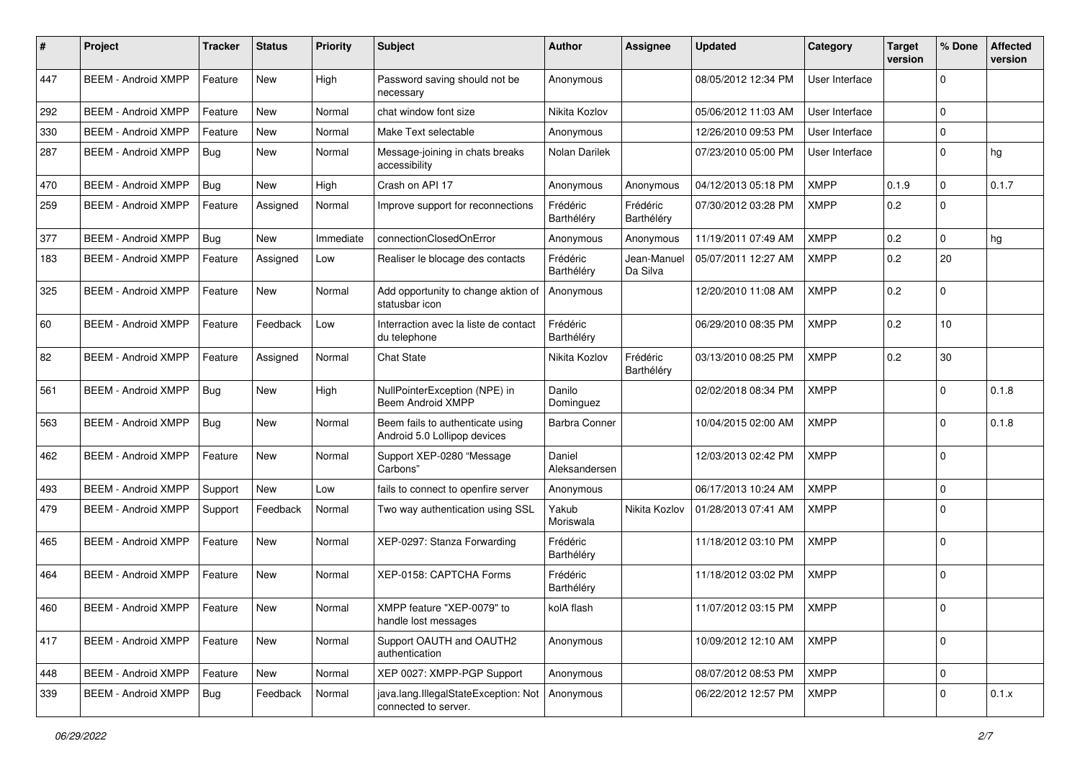| $\pmb{\#}$ | Project                    | <b>Tracker</b> | <b>Status</b> | <b>Priority</b> | Subject                                                          | <b>Author</b>           | <b>Assignee</b>         | <b>Updated</b>      | Category       | <b>Target</b><br>version | % Done      | <b>Affected</b><br>version |
|------------|----------------------------|----------------|---------------|-----------------|------------------------------------------------------------------|-------------------------|-------------------------|---------------------|----------------|--------------------------|-------------|----------------------------|
| 447        | <b>BEEM - Android XMPP</b> | Feature        | <b>New</b>    | High            | Password saving should not be<br>necessary                       | Anonymous               |                         | 08/05/2012 12:34 PM | User Interface |                          | $\Omega$    |                            |
| 292        | <b>BEEM - Android XMPP</b> | Feature        | <b>New</b>    | Normal          | chat window font size                                            | Nikita Kozlov           |                         | 05/06/2012 11:03 AM | User Interface |                          | $\Omega$    |                            |
| 330        | <b>BEEM - Android XMPP</b> | Feature        | New           | Normal          | Make Text selectable                                             | Anonymous               |                         | 12/26/2010 09:53 PM | User Interface |                          | $\Omega$    |                            |
| 287        | <b>BEEM - Android XMPP</b> | <b>Bug</b>     | New           | Normal          | Message-joining in chats breaks<br>accessibility                 | Nolan Darilek           |                         | 07/23/2010 05:00 PM | User Interface |                          | $\Omega$    | hg                         |
| 470        | <b>BEEM - Android XMPP</b> | Bug            | <b>New</b>    | High            | Crash on API 17                                                  | Anonymous               | Anonymous               | 04/12/2013 05:18 PM | <b>XMPP</b>    | 0.1.9                    | $\Omega$    | 0.1.7                      |
| 259        | <b>BEEM - Android XMPP</b> | Feature        | Assigned      | Normal          | Improve support for reconnections                                | Frédéric<br>Barthéléry  | Frédéric<br>Barthéléry  | 07/30/2012 03:28 PM | <b>XMPP</b>    | 0.2                      | $\Omega$    |                            |
| 377        | <b>BEEM - Android XMPP</b> | Bug            | New           | Immediate       | connectionClosedOnError                                          | Anonymous               | Anonymous               | 11/19/2011 07:49 AM | <b>XMPP</b>    | 0.2                      | $\Omega$    | hg                         |
| 183        | <b>BEEM - Android XMPP</b> | Feature        | Assigned      | Low             | Realiser le blocage des contacts                                 | Frédéric<br>Barthéléry  | Jean-Manuel<br>Da Silva | 05/07/2011 12:27 AM | XMPP           | 0.2                      | 20          |                            |
| 325        | <b>BEEM - Android XMPP</b> | Feature        | New           | Normal          | Add opportunity to change aktion of<br>statusbar icon            | Anonymous               |                         | 12/20/2010 11:08 AM | <b>XMPP</b>    | 0.2                      | $\Omega$    |                            |
| 60         | <b>BEEM - Android XMPP</b> | Feature        | Feedback      | Low             | Interraction avec la liste de contact<br>du telephone            | Frédéric<br>Barthéléry  |                         | 06/29/2010 08:35 PM | <b>XMPP</b>    | 0.2                      | 10          |                            |
| 82         | <b>BEEM - Android XMPP</b> | Feature        | Assigned      | Normal          | <b>Chat State</b>                                                | Nikita Kozlov           | Frédéric<br>Barthéléry  | 03/13/2010 08:25 PM | XMPP           | 0.2                      | 30          |                            |
| 561        | <b>BEEM - Android XMPP</b> | Bug            | New           | High            | NullPointerException (NPE) in<br>Beem Android XMPP               | Danilo<br>Dominguez     |                         | 02/02/2018 08:34 PM | <b>XMPP</b>    |                          | $\Omega$    | 0.1.8                      |
| 563        | <b>BEEM - Android XMPP</b> | Bug            | New           | Normal          | Beem fails to authenticate using<br>Android 5.0 Lollipop devices | <b>Barbra Conner</b>    |                         | 10/04/2015 02:00 AM | <b>XMPP</b>    |                          | $\Omega$    | 0.1.8                      |
| 462        | <b>BEEM - Android XMPP</b> | Feature        | New           | Normal          | Support XEP-0280 "Message<br>Carbons"                            | Daniel<br>Aleksandersen |                         | 12/03/2013 02:42 PM | <b>XMPP</b>    |                          | $\Omega$    |                            |
| 493        | <b>BEEM - Android XMPP</b> | Support        | New           | Low             | fails to connect to openfire server                              | Anonymous               |                         | 06/17/2013 10:24 AM | <b>XMPP</b>    |                          | $\Omega$    |                            |
| 479        | <b>BEEM - Android XMPP</b> | Support        | Feedback      | Normal          | Two way authentication using SSL                                 | Yakub<br>Moriswala      | Nikita Kozlov           | 01/28/2013 07:41 AM | <b>XMPP</b>    |                          | $\Omega$    |                            |
| 465        | <b>BEEM - Android XMPP</b> | Feature        | <b>New</b>    | Normal          | XEP-0297: Stanza Forwarding                                      | Frédéric<br>Barthéléry  |                         | 11/18/2012 03:10 PM | <b>XMPP</b>    |                          | $\Omega$    |                            |
| 464        | <b>BEEM - Android XMPP</b> | Feature        | <b>New</b>    | Normal          | XEP-0158: CAPTCHA Forms                                          | Frédéric<br>Barthéléry  |                         | 11/18/2012 03:02 PM | <b>XMPP</b>    |                          | $\Omega$    |                            |
| 460        | <b>BEEM - Android XMPP</b> | Feature        | New           | Normal          | XMPP feature "XEP-0079" to<br>handle lost messages               | kolA flash              |                         | 11/07/2012 03:15 PM | <b>XMPP</b>    |                          | $\mathbf 0$ |                            |
| 417        | <b>BEEM - Android XMPP</b> | Feature        | New           | Normal          | Support OAUTH and OAUTH2<br>authentication                       | Anonymous               |                         | 10/09/2012 12:10 AM | <b>XMPP</b>    |                          | $\Omega$    |                            |
| 448        | <b>BEEM - Android XMPP</b> | Feature        | New           | Normal          | XEP 0027: XMPP-PGP Support                                       | Anonymous               |                         | 08/07/2012 08:53 PM | <b>XMPP</b>    |                          | $\mathbf 0$ |                            |
| 339        | <b>BEEM - Android XMPP</b> | Bug            | Feedback      | Normal          | java.lang.IllegalStateException: Not<br>connected to server.     | Anonymous               |                         | 06/22/2012 12:57 PM | <b>XMPP</b>    |                          | $\Omega$    | 0.1.x                      |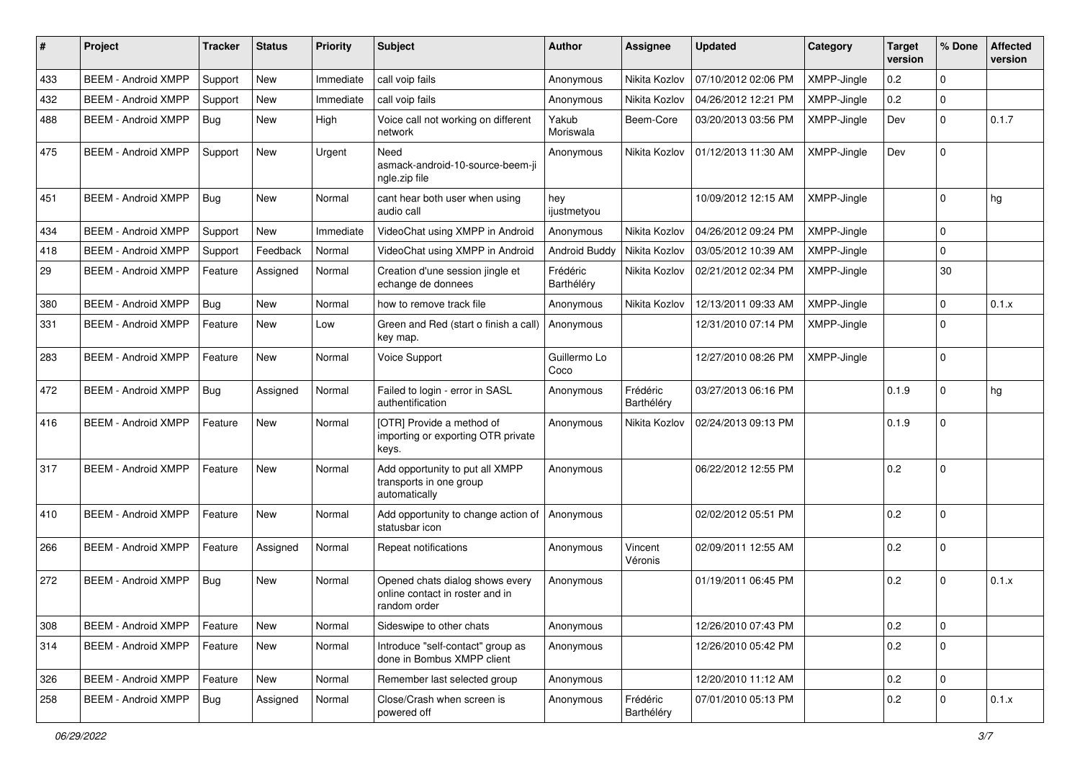| #   | Project                    | <b>Tracker</b> | <b>Status</b> | <b>Priority</b> | Subject                                                                            | <b>Author</b>          | Assignee               | <b>Updated</b>      | Category    | <b>Target</b><br>version | % Done       | <b>Affected</b><br>version |
|-----|----------------------------|----------------|---------------|-----------------|------------------------------------------------------------------------------------|------------------------|------------------------|---------------------|-------------|--------------------------|--------------|----------------------------|
| 433 | <b>BEEM - Android XMPP</b> | Support        | <b>New</b>    | Immediate       | call voip fails                                                                    | Anonymous              | Nikita Kozlov          | 07/10/2012 02:06 PM | XMPP-Jingle | 0.2                      | 0            |                            |
| 432 | <b>BEEM - Android XMPP</b> | Support        | New           | Immediate       | call voip fails                                                                    | Anonymous              | Nikita Kozlov          | 04/26/2012 12:21 PM | XMPP-Jingle | 0.2                      | $\mathbf 0$  |                            |
| 488 | <b>BEEM - Android XMPP</b> | Bug            | New           | High            | Voice call not working on different<br>network                                     | Yakub<br>Moriswala     | Beem-Core              | 03/20/2013 03:56 PM | XMPP-Jingle | Dev                      | $\Omega$     | 0.1.7                      |
| 475 | <b>BEEM - Android XMPP</b> | Support        | <b>New</b>    | Urgent          | Need<br>asmack-android-10-source-beem-ji<br>ngle.zip file                          | Anonymous              | Nikita Kozlov          | 01/12/2013 11:30 AM | XMPP-Jingle | Dev                      | $\Omega$     |                            |
| 451 | <b>BEEM - Android XMPP</b> | Bug            | <b>New</b>    | Normal          | cant hear both user when using<br>audio call                                       | hey<br>ijustmetyou     |                        | 10/09/2012 12:15 AM | XMPP-Jingle |                          | $\Omega$     | hg                         |
| 434 | <b>BEEM - Android XMPP</b> | Support        | New           | Immediate       | VideoChat using XMPP in Android                                                    | Anonymous              | Nikita Kozlov          | 04/26/2012 09:24 PM | XMPP-Jingle |                          | $\mathbf 0$  |                            |
| 418 | <b>BEEM - Android XMPP</b> | Support        | Feedback      | Normal          | VideoChat using XMPP in Android                                                    | Android Buddy          | Nikita Kozlov          | 03/05/2012 10:39 AM | XMPP-Jingle |                          | $\mathbf 0$  |                            |
| 29  | <b>BEEM - Android XMPP</b> | Feature        | Assigned      | Normal          | Creation d'une session jingle et<br>echange de donnees                             | Frédéric<br>Barthéléry | Nikita Kozlov          | 02/21/2012 02:34 PM | XMPP-Jingle |                          | 30           |                            |
| 380 | <b>BEEM - Android XMPP</b> | Bug            | New           | Normal          | how to remove track file                                                           | Anonymous              | Nikita Kozlov          | 12/13/2011 09:33 AM | XMPP-Jingle |                          | 0            | 0.1.x                      |
| 331 | <b>BEEM - Android XMPP</b> | Feature        | <b>New</b>    | Low             | Green and Red (start o finish a call)<br>key map.                                  | Anonymous              |                        | 12/31/2010 07:14 PM | XMPP-Jingle |                          | $\Omega$     |                            |
| 283 | <b>BEEM - Android XMPP</b> | Feature        | New           | Normal          | Voice Support                                                                      | Guillermo Lo<br>Coco   |                        | 12/27/2010 08:26 PM | XMPP-Jingle |                          | $\mathbf 0$  |                            |
| 472 | <b>BEEM - Android XMPP</b> | Bug            | Assigned      | Normal          | Failed to login - error in SASL<br>authentification                                | Anonymous              | Frédéric<br>Barthéléry | 03/27/2013 06:16 PM |             | 0.1.9                    | $\Omega$     | hg                         |
| 416 | <b>BEEM - Android XMPP</b> | Feature        | New           | Normal          | [OTR] Provide a method of<br>importing or exporting OTR private<br>keys.           | Anonymous              | Nikita Kozlov          | 02/24/2013 09:13 PM |             | 0.1.9                    | $\Omega$     |                            |
| 317 | <b>BEEM - Android XMPP</b> | Feature        | <b>New</b>    | Normal          | Add opportunity to put all XMPP<br>transports in one group<br>automatically        | Anonymous              |                        | 06/22/2012 12:55 PM |             | 0.2                      | $\mathbf 0$  |                            |
| 410 | <b>BEEM - Android XMPP</b> | Feature        | <b>New</b>    | Normal          | Add opportunity to change action of<br>statusbar icon                              | Anonymous              |                        | 02/02/2012 05:51 PM |             | 0.2                      | $\Omega$     |                            |
| 266 | <b>BEEM - Android XMPP</b> | Feature        | Assigned      | Normal          | Repeat notifications                                                               | Anonymous              | Vincent<br>Véronis     | 02/09/2011 12:55 AM |             | 0.2                      | 0            |                            |
| 272 | <b>BEEM - Android XMPP</b> | Bug            | New           | Normal          | Opened chats dialog shows every<br>online contact in roster and in<br>random order | Anonymous              |                        | 01/19/2011 06:45 PM |             | 0.2                      | $\Omega$     | 0.1.x                      |
| 308 | <b>BEEM - Android XMPP</b> | Feature        | <b>New</b>    | Normal          | Sideswipe to other chats                                                           | Anonymous              |                        | 12/26/2010 07:43 PM |             | 0.2                      | $\mathbf 0$  |                            |
| 314 | <b>BEEM - Android XMPP</b> | Feature        | New           | Normal          | Introduce "self-contact" group as<br>done in Bombus XMPP client                    | Anonymous              |                        | 12/26/2010 05:42 PM |             | 0.2                      | $\mathbf 0$  |                            |
| 326 | <b>BEEM - Android XMPP</b> | Feature        | New           | Normal          | Remember last selected group                                                       | Anonymous              |                        | 12/20/2010 11:12 AM |             | 0.2                      | $\mathbf{0}$ |                            |
| 258 | <b>BEEM - Android XMPP</b> | <b>Bug</b>     | Assigned      | Normal          | Close/Crash when screen is<br>powered off                                          | Anonymous              | Frédéric<br>Barthéléry | 07/01/2010 05:13 PM |             | 0.2                      | $\mathbf 0$  | 0.1.x                      |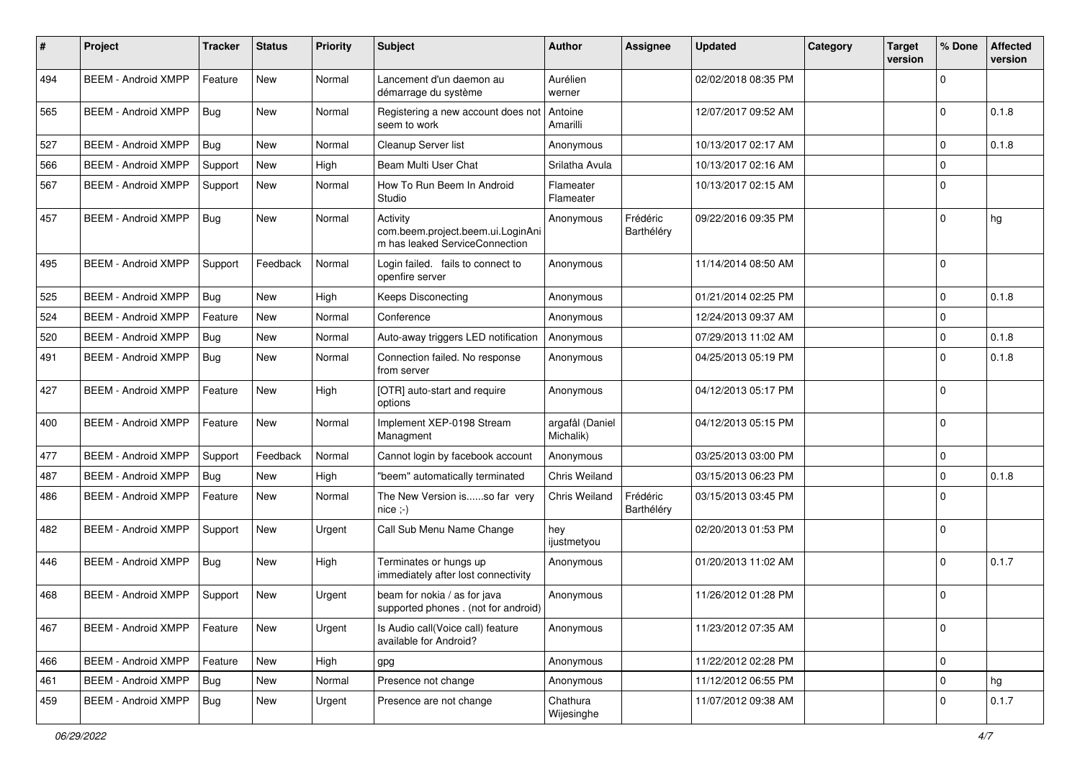| $\#$ | Project                    | <b>Tracker</b> | <b>Status</b> | <b>Priority</b> | Subject                                                                         | <b>Author</b>                | <b>Assignee</b>        | <b>Updated</b>      | Category | <b>Target</b><br>version | % Done      | <b>Affected</b><br>version |
|------|----------------------------|----------------|---------------|-----------------|---------------------------------------------------------------------------------|------------------------------|------------------------|---------------------|----------|--------------------------|-------------|----------------------------|
| 494  | <b>BEEM - Android XMPP</b> | Feature        | <b>New</b>    | Normal          | Lancement d'un daemon au<br>démarrage du système                                | Aurélien<br>werner           |                        | 02/02/2018 08:35 PM |          |                          | $\mathbf 0$ |                            |
| 565  | <b>BEEM - Android XMPP</b> | Bug            | New           | Normal          | Registering a new account does not<br>seem to work                              | Antoine<br>Amarilli          |                        | 12/07/2017 09:52 AM |          |                          | $\Omega$    | 0.1.8                      |
| 527  | <b>BEEM - Android XMPP</b> | Bug            | New           | Normal          | Cleanup Server list                                                             | Anonymous                    |                        | 10/13/2017 02:17 AM |          |                          | $\mathbf 0$ | 0.1.8                      |
| 566  | <b>BEEM - Android XMPP</b> | Support        | New           | High            | Beam Multi User Chat                                                            | Srilatha Avula               |                        | 10/13/2017 02:16 AM |          |                          | $\mathbf 0$ |                            |
| 567  | <b>BEEM - Android XMPP</b> | Support        | <b>New</b>    | Normal          | How To Run Beem In Android<br>Studio                                            | Flameater<br>Flameater       |                        | 10/13/2017 02:15 AM |          |                          | $\Omega$    |                            |
| 457  | <b>BEEM - Android XMPP</b> | Bug            | New           | Normal          | Activity<br>com.beem.project.beem.ui.LoginAni<br>m has leaked ServiceConnection | Anonymous                    | Frédéric<br>Barthéléry | 09/22/2016 09:35 PM |          |                          | $\mathbf 0$ | hg                         |
| 495  | <b>BEEM - Android XMPP</b> | Support        | Feedback      | Normal          | Login failed. fails to connect to<br>openfire server                            | Anonymous                    |                        | 11/14/2014 08:50 AM |          |                          | $\mathbf 0$ |                            |
| 525  | <b>BEEM - Android XMPP</b> | Bug            | New           | High            | <b>Keeps Disconecting</b>                                                       | Anonymous                    |                        | 01/21/2014 02:25 PM |          |                          | $\Omega$    | 0.1.8                      |
| 524  | <b>BEEM - Android XMPP</b> | Feature        | <b>New</b>    | Normal          | Conference                                                                      | Anonymous                    |                        | 12/24/2013 09:37 AM |          |                          | $\mathbf 0$ |                            |
| 520  | <b>BEEM - Android XMPP</b> | Bug            | New           | Normal          | Auto-away triggers LED notification                                             | Anonymous                    |                        | 07/29/2013 11:02 AM |          |                          | $\mathbf 0$ | 0.1.8                      |
| 491  | <b>BEEM - Android XMPP</b> | <b>Bug</b>     | New           | Normal          | Connection failed. No response<br>from server                                   | Anonymous                    |                        | 04/25/2013 05:19 PM |          |                          | $\Omega$    | 0.1.8                      |
| 427  | <b>BEEM - Android XMPP</b> | Feature        | <b>New</b>    | High            | [OTR] auto-start and require<br>options                                         | Anonymous                    |                        | 04/12/2013 05:17 PM |          |                          | $\Omega$    |                            |
| 400  | <b>BEEM - Android XMPP</b> | Feature        | <b>New</b>    | Normal          | Implement XEP-0198 Stream<br>Managment                                          | argafål (Daniel<br>Michalik) |                        | 04/12/2013 05:15 PM |          |                          | $\mathbf 0$ |                            |
| 477  | <b>BEEM - Android XMPP</b> | Support        | Feedback      | Normal          | Cannot login by facebook account                                                | Anonymous                    |                        | 03/25/2013 03:00 PM |          |                          | $\mathbf 0$ |                            |
| 487  | <b>BEEM - Android XMPP</b> | Bug            | <b>New</b>    | High            | "beem" automatically terminated                                                 | Chris Weiland                |                        | 03/15/2013 06:23 PM |          |                          | $\mathbf 0$ | 0.1.8                      |
| 486  | <b>BEEM - Android XMPP</b> | Feature        | New           | Normal          | The New Version isso far very<br>$nice; -)$                                     | Chris Weiland                | Frédéric<br>Barthéléry | 03/15/2013 03:45 PM |          |                          | $\Omega$    |                            |
| 482  | <b>BEEM - Android XMPP</b> | Support        | <b>New</b>    | Urgent          | Call Sub Menu Name Change                                                       | hey<br>ijustmetyou           |                        | 02/20/2013 01:53 PM |          |                          | $\mathbf 0$ |                            |
| 446  | <b>BEEM - Android XMPP</b> | Bug            | New           | High            | Terminates or hungs up<br>immediately after lost connectivity                   | Anonymous                    |                        | 01/20/2013 11:02 AM |          |                          | $\Omega$    | 0.1.7                      |
| 468  | <b>BEEM - Android XMPP</b> | Support        | <b>New</b>    | Urgent          | beam for nokia / as for java<br>supported phones . (not for android)            | Anonymous                    |                        | 11/26/2012 01:28 PM |          |                          | $\Omega$    |                            |
| 467  | <b>BEEM - Android XMPP</b> | Feature        | New           | Urgent          | Is Audio call(Voice call) feature<br>available for Android?                     | Anonymous                    |                        | 11/23/2012 07:35 AM |          |                          | $\mathbf 0$ |                            |
| 466  | <b>BEEM - Android XMPP</b> | Feature        | New           | High            | gpg                                                                             | Anonymous                    |                        | 11/22/2012 02:28 PM |          |                          | $\mathbf 0$ |                            |
| 461  | <b>BEEM - Android XMPP</b> | Bug            | New           | Normal          | Presence not change                                                             | Anonymous                    |                        | 11/12/2012 06:55 PM |          |                          | $\mathbf 0$ | hg                         |
| 459  | <b>BEEM - Android XMPP</b> | Bug            | New           | Urgent          | Presence are not change                                                         | Chathura<br>Wijesinghe       |                        | 11/07/2012 09:38 AM |          |                          | $\Omega$    | 0.1.7                      |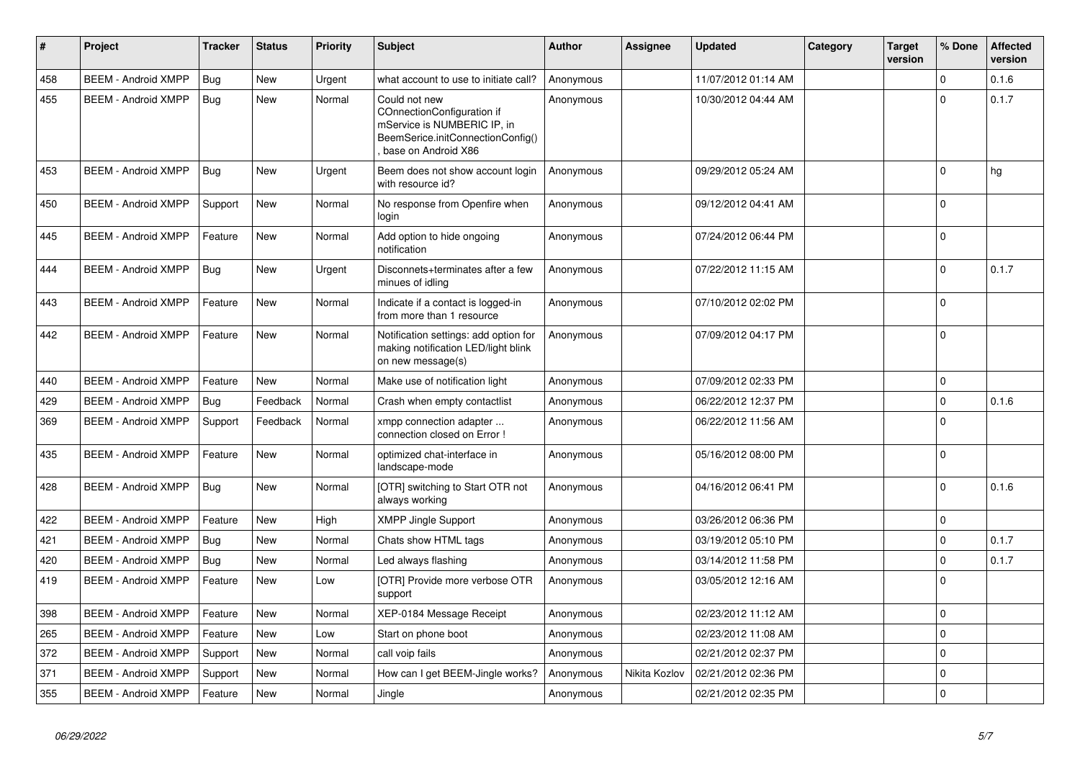| $\#$ | Project                    | <b>Tracker</b> | <b>Status</b> | <b>Priority</b> | <b>Subject</b>                                                                                                                         | Author    | <b>Assignee</b> | <b>Updated</b>      | Category | Target<br>version | % Done      | <b>Affected</b><br>version |
|------|----------------------------|----------------|---------------|-----------------|----------------------------------------------------------------------------------------------------------------------------------------|-----------|-----------------|---------------------|----------|-------------------|-------------|----------------------------|
| 458  | <b>BEEM - Android XMPP</b> | Bug            | <b>New</b>    | Urgent          | what account to use to initiate call?                                                                                                  | Anonymous |                 | 11/07/2012 01:14 AM |          |                   | $\Omega$    | 0.1.6                      |
| 455  | <b>BEEM - Android XMPP</b> | Bug            | <b>New</b>    | Normal          | Could not new<br>COnnectionConfiguration if<br>mService is NUMBERIC IP, in<br>BeemSerice.initConnectionConfig()<br>base on Android X86 | Anonymous |                 | 10/30/2012 04:44 AM |          |                   | $\Omega$    | 0.1.7                      |
| 453  | <b>BEEM - Android XMPP</b> | <b>Bug</b>     | <b>New</b>    | Urgent          | Beem does not show account login<br>with resource id?                                                                                  | Anonymous |                 | 09/29/2012 05:24 AM |          |                   | $\Omega$    | hg                         |
| 450  | <b>BEEM - Android XMPP</b> | Support        | <b>New</b>    | Normal          | No response from Openfire when<br>login                                                                                                | Anonymous |                 | 09/12/2012 04:41 AM |          |                   | $\Omega$    |                            |
| 445  | <b>BEEM - Android XMPP</b> | Feature        | <b>New</b>    | Normal          | Add option to hide ongoing<br>notification                                                                                             | Anonymous |                 | 07/24/2012 06:44 PM |          |                   | $\mathbf 0$ |                            |
| 444  | <b>BEEM - Android XMPP</b> | <b>Bug</b>     | New           | Urgent          | Disconnets+terminates after a few<br>minues of idling                                                                                  | Anonymous |                 | 07/22/2012 11:15 AM |          |                   | $\Omega$    | 0.1.7                      |
| 443  | <b>BEEM - Android XMPP</b> | Feature        | New           | Normal          | Indicate if a contact is logged-in<br>from more than 1 resource                                                                        | Anonymous |                 | 07/10/2012 02:02 PM |          |                   | $\Omega$    |                            |
| 442  | <b>BEEM - Android XMPP</b> | Feature        | <b>New</b>    | Normal          | Notification settings: add option for<br>making notification LED/light blink<br>on new message(s)                                      | Anonymous |                 | 07/09/2012 04:17 PM |          |                   | $\Omega$    |                            |
| 440  | <b>BEEM - Android XMPP</b> | Feature        | <b>New</b>    | Normal          | Make use of notification light                                                                                                         | Anonymous |                 | 07/09/2012 02:33 PM |          |                   | $\mathbf 0$ |                            |
| 429  | <b>BEEM - Android XMPP</b> | Bug            | Feedback      | Normal          | Crash when empty contactlist                                                                                                           | Anonymous |                 | 06/22/2012 12:37 PM |          |                   | $\mathbf 0$ | 0.1.6                      |
| 369  | <b>BEEM - Android XMPP</b> | Support        | Feedback      | Normal          | xmpp connection adapter<br>connection closed on Error!                                                                                 | Anonymous |                 | 06/22/2012 11:56 AM |          |                   | $\Omega$    |                            |
| 435  | <b>BEEM - Android XMPP</b> | Feature        | <b>New</b>    | Normal          | optimized chat-interface in<br>landscape-mode                                                                                          | Anonymous |                 | 05/16/2012 08:00 PM |          |                   | $\Omega$    |                            |
| 428  | <b>BEEM - Android XMPP</b> | Bug            | <b>New</b>    | Normal          | [OTR] switching to Start OTR not<br>always working                                                                                     | Anonymous |                 | 04/16/2012 06:41 PM |          |                   | $\Omega$    | 0.1.6                      |
| 422  | <b>BEEM - Android XMPP</b> | Feature        | <b>New</b>    | High            | <b>XMPP Jingle Support</b>                                                                                                             | Anonymous |                 | 03/26/2012 06:36 PM |          |                   | $\mathbf 0$ |                            |
| 421  | <b>BEEM - Android XMPP</b> | Bug            | New           | Normal          | Chats show HTML tags                                                                                                                   | Anonymous |                 | 03/19/2012 05:10 PM |          |                   | $\mathbf 0$ | 0.1.7                      |
| 420  | <b>BEEM - Android XMPP</b> | <b>Bug</b>     | New           | Normal          | Led always flashing                                                                                                                    | Anonymous |                 | 03/14/2012 11:58 PM |          |                   | $\Omega$    | 0.1.7                      |
| 419  | <b>BEEM - Android XMPP</b> | Feature        | <b>New</b>    | Low             | [OTR] Provide more verbose OTR<br>support                                                                                              | Anonymous |                 | 03/05/2012 12:16 AM |          |                   | $\Omega$    |                            |
| 398  | <b>BEEM - Android XMPP</b> | Feature        | New           | Normal          | XEP-0184 Message Receipt                                                                                                               | Anonymous |                 | 02/23/2012 11:12 AM |          |                   | $\mathbf 0$ |                            |
| 265  | <b>BEEM - Android XMPP</b> | Feature        | New           | Low             | Start on phone boot                                                                                                                    | Anonymous |                 | 02/23/2012 11:08 AM |          |                   | $\mathbf 0$ |                            |
| 372  | <b>BEEM - Android XMPP</b> | Support        | New           | Normal          | call voip fails                                                                                                                        | Anonymous |                 | 02/21/2012 02:37 PM |          |                   | $\mathbf 0$ |                            |
| 371  | <b>BEEM - Android XMPP</b> | Support        | New           | Normal          | How can I get BEEM-Jingle works?                                                                                                       | Anonymous | Nikita Kozlov   | 02/21/2012 02:36 PM |          |                   | $\mathbf 0$ |                            |
| 355  | <b>BEEM - Android XMPP</b> | Feature        | New           | Normal          | Jingle                                                                                                                                 | Anonymous |                 | 02/21/2012 02:35 PM |          |                   | $\mathbf 0$ |                            |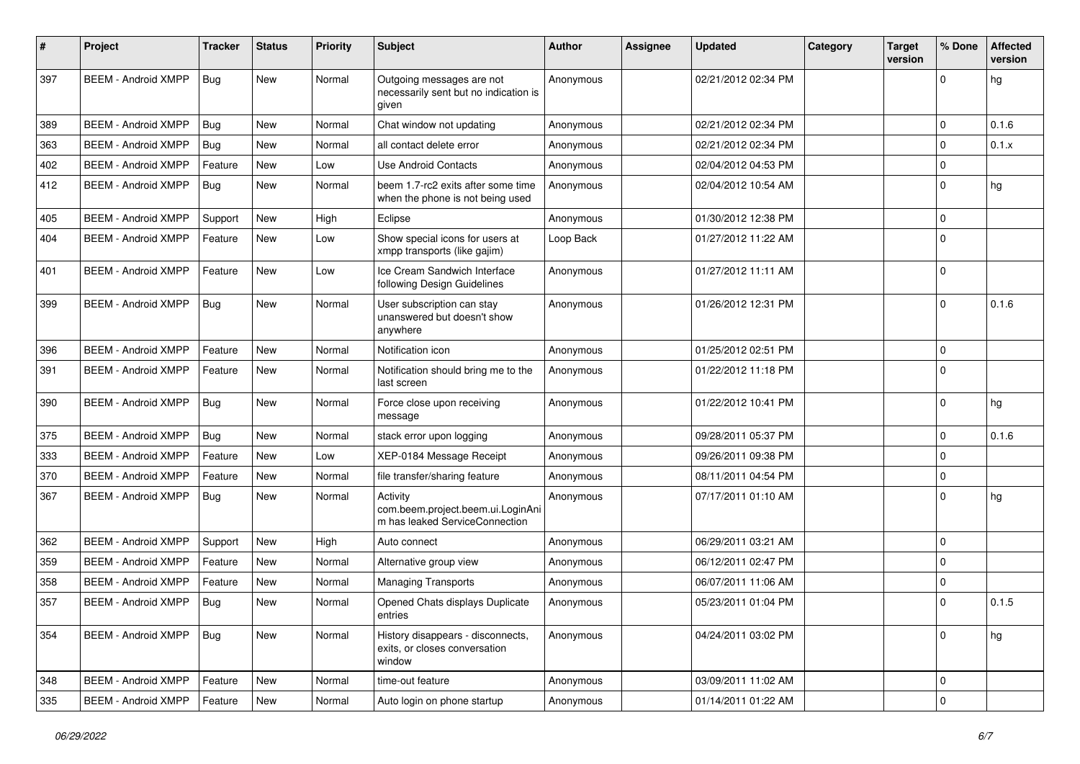| #   | Project                    | <b>Tracker</b> | <b>Status</b> | <b>Priority</b> | Subject                                                                         | Author    | Assignee | <b>Updated</b>      | Category | <b>Target</b><br>version | % Done      | <b>Affected</b><br>version |
|-----|----------------------------|----------------|---------------|-----------------|---------------------------------------------------------------------------------|-----------|----------|---------------------|----------|--------------------------|-------------|----------------------------|
| 397 | <b>BEEM - Android XMPP</b> | <b>Bug</b>     | New           | Normal          | Outgoing messages are not<br>necessarily sent but no indication is<br>given     | Anonymous |          | 02/21/2012 02:34 PM |          |                          | $\Omega$    | hg                         |
| 389 | <b>BEEM - Android XMPP</b> | Bug            | New           | Normal          | Chat window not updating                                                        | Anonymous |          | 02/21/2012 02:34 PM |          |                          | 0           | 0.1.6                      |
| 363 | <b>BEEM - Android XMPP</b> | Bug            | New           | Normal          | all contact delete error                                                        | Anonymous |          | 02/21/2012 02:34 PM |          |                          | $\Omega$    | 0.1.x                      |
| 402 | <b>BEEM - Android XMPP</b> | Feature        | <b>New</b>    | Low             | Use Android Contacts                                                            | Anonymous |          | 02/04/2012 04:53 PM |          |                          | $\mathbf 0$ |                            |
| 412 | <b>BEEM - Android XMPP</b> | Bug            | <b>New</b>    | Normal          | beem 1.7-rc2 exits after some time<br>when the phone is not being used          | Anonymous |          | 02/04/2012 10:54 AM |          |                          | $\mathbf 0$ | hg                         |
| 405 | <b>BEEM - Android XMPP</b> | Support        | New           | High            | Eclipse                                                                         | Anonymous |          | 01/30/2012 12:38 PM |          |                          | $\mathbf 0$ |                            |
| 404 | <b>BEEM - Android XMPP</b> | Feature        | New           | Low             | Show special icons for users at<br>xmpp transports (like gajim)                 | Loop Back |          | 01/27/2012 11:22 AM |          |                          | $\Omega$    |                            |
| 401 | <b>BEEM - Android XMPP</b> | Feature        | New           | Low             | Ice Cream Sandwich Interface<br>following Design Guidelines                     | Anonymous |          | 01/27/2012 11:11 AM |          |                          | $\Omega$    |                            |
| 399 | <b>BEEM - Android XMPP</b> | Bug            | <b>New</b>    | Normal          | User subscription can stay<br>unanswered but doesn't show<br>anywhere           | Anonymous |          | 01/26/2012 12:31 PM |          |                          | $\Omega$    | 0.1.6                      |
| 396 | <b>BEEM - Android XMPP</b> | Feature        | <b>New</b>    | Normal          | Notification icon                                                               | Anonymous |          | 01/25/2012 02:51 PM |          |                          | $\mathbf 0$ |                            |
| 391 | <b>BEEM - Android XMPP</b> | Feature        | <b>New</b>    | Normal          | Notification should bring me to the<br>last screen                              | Anonymous |          | 01/22/2012 11:18 PM |          |                          | $\Omega$    |                            |
| 390 | <b>BEEM - Android XMPP</b> | <b>Bug</b>     | New           | Normal          | Force close upon receiving<br>message                                           | Anonymous |          | 01/22/2012 10:41 PM |          |                          | $\mathbf 0$ | hg                         |
| 375 | <b>BEEM - Android XMPP</b> | Bug            | New           | Normal          | stack error upon logging                                                        | Anonymous |          | 09/28/2011 05:37 PM |          |                          | $\Omega$    | 0.1.6                      |
| 333 | <b>BEEM - Android XMPP</b> | Feature        | New           | Low             | XEP-0184 Message Receipt                                                        | Anonymous |          | 09/26/2011 09:38 PM |          |                          | 0           |                            |
| 370 | <b>BEEM - Android XMPP</b> | Feature        | <b>New</b>    | Normal          | file transfer/sharing feature                                                   | Anonymous |          | 08/11/2011 04:54 PM |          |                          | $\mathbf 0$ |                            |
| 367 | <b>BEEM - Android XMPP</b> | <b>Bug</b>     | New           | Normal          | Activity<br>com.beem.project.beem.ui.LoginAni<br>m has leaked ServiceConnection | Anonymous |          | 07/17/2011 01:10 AM |          |                          | $\Omega$    | hg                         |
| 362 | <b>BEEM - Android XMPP</b> | Support        | <b>New</b>    | High            | Auto connect                                                                    | Anonymous |          | 06/29/2011 03:21 AM |          |                          | $\mathbf 0$ |                            |
| 359 | <b>BEEM - Android XMPP</b> | Feature        | New           | Normal          | Alternative group view                                                          | Anonymous |          | 06/12/2011 02:47 PM |          |                          | $\mathbf 0$ |                            |
| 358 | <b>BEEM - Android XMPP</b> | Feature        | New           | Normal          | <b>Managing Transports</b>                                                      | Anonymous |          | 06/07/2011 11:06 AM |          |                          | $\mathbf 0$ |                            |
| 357 | <b>BEEM - Android XMPP</b> | Bug            | <b>New</b>    | Normal          | Opened Chats displays Duplicate<br>entries                                      | Anonymous |          | 05/23/2011 01:04 PM |          |                          | $\Omega$    | 0.1.5                      |
| 354 | <b>BEEM - Android XMPP</b> | Bug            | <b>New</b>    | Normal          | History disappears - disconnects,<br>exits, or closes conversation<br>window    | Anonymous |          | 04/24/2011 03:02 PM |          |                          | $\mathbf 0$ | hg                         |
| 348 | <b>BEEM - Android XMPP</b> | Feature        | <b>New</b>    | Normal          | time-out feature                                                                | Anonymous |          | 03/09/2011 11:02 AM |          |                          | 0           |                            |
| 335 | <b>BEEM - Android XMPP</b> | Feature        | New           | Normal          | Auto login on phone startup                                                     | Anonymous |          | 01/14/2011 01:22 AM |          |                          | $\mathbf 0$ |                            |